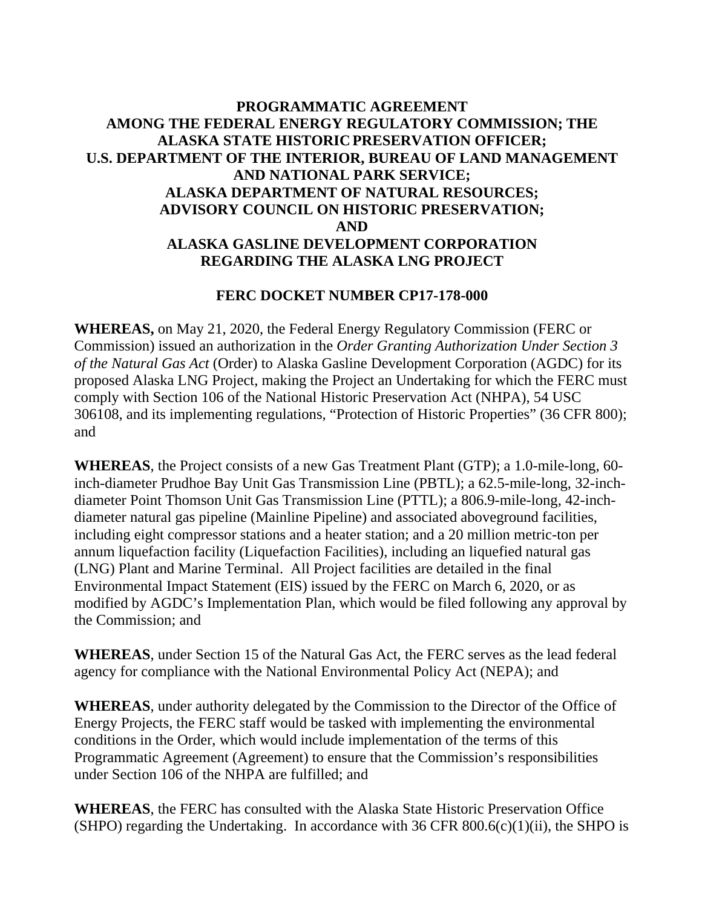## **PROGRAMMATIC AGREEMENT AMONG THE FEDERAL ENERGY REGULATORY COMMISSION; THE ALASKA STATE HISTORIC PRESERVATION OFFICER; U.S. DEPARTMENT OF THE INTERIOR, BUREAU OF LAND MANAGEMENT AND NATIONAL PARK SERVICE; ALASKA DEPARTMENT OF NATURAL RESOURCES; ADVISORY COUNCIL ON HISTORIC PRESERVATION; AND ALASKA GASLINE DEVELOPMENT CORPORATION REGARDING THE ALASKA LNG PROJECT**

### **FERC DOCKET NUMBER CP17-178-000**

**WHEREAS,** on May 21, 2020, the Federal Energy Regulatory Commission (FERC or Commission) issued an authorization in the *Order Granting Authorization Under Section 3 of the Natural Gas Act* (Order) to Alaska Gasline Development Corporation (AGDC) for its proposed Alaska LNG Project, making the Project an Undertaking for which the FERC must comply with Section 106 of the National Historic Preservation Act (NHPA), 54 USC 306108, and its implementing regulations, "Protection of Historic Properties" (36 CFR 800); and

**WHEREAS**, the Project consists of a new Gas Treatment Plant (GTP); a 1.0-mile-long, 60 inch-diameter Prudhoe Bay Unit Gas Transmission Line (PBTL); a 62.5-mile-long, 32-inchdiameter Point Thomson Unit Gas Transmission Line (PTTL); a 806.9-mile-long, 42-inchdiameter natural gas pipeline (Mainline Pipeline) and associated aboveground facilities, including eight compressor stations and a heater station; and a 20 million metric-ton per annum liquefaction facility (Liquefaction Facilities), including an liquefied natural gas (LNG) Plant and Marine Terminal. All Project facilities are detailed in the final Environmental Impact Statement (EIS) issued by the FERC on March 6, 2020, or as modified by AGDC's Implementation Plan, which would be filed following any approval by the Commission; and

**WHEREAS**, under Section 15 of the Natural Gas Act, the FERC serves as the lead federal agency for compliance with the National Environmental Policy Act (NEPA); and

**WHEREAS**, under authority delegated by the Commission to the Director of the Office of Energy Projects, the FERC staff would be tasked with implementing the environmental conditions in the Order, which would include implementation of the terms of this Programmatic Agreement (Agreement) to ensure that the Commission's responsibilities under Section 106 of the NHPA are fulfilled; and

**WHEREAS**, the FERC has consulted with the Alaska State Historic Preservation Office (SHPO) regarding the Undertaking. In accordance with 36 CFR  $800.6(c)(1)(ii)$ , the SHPO is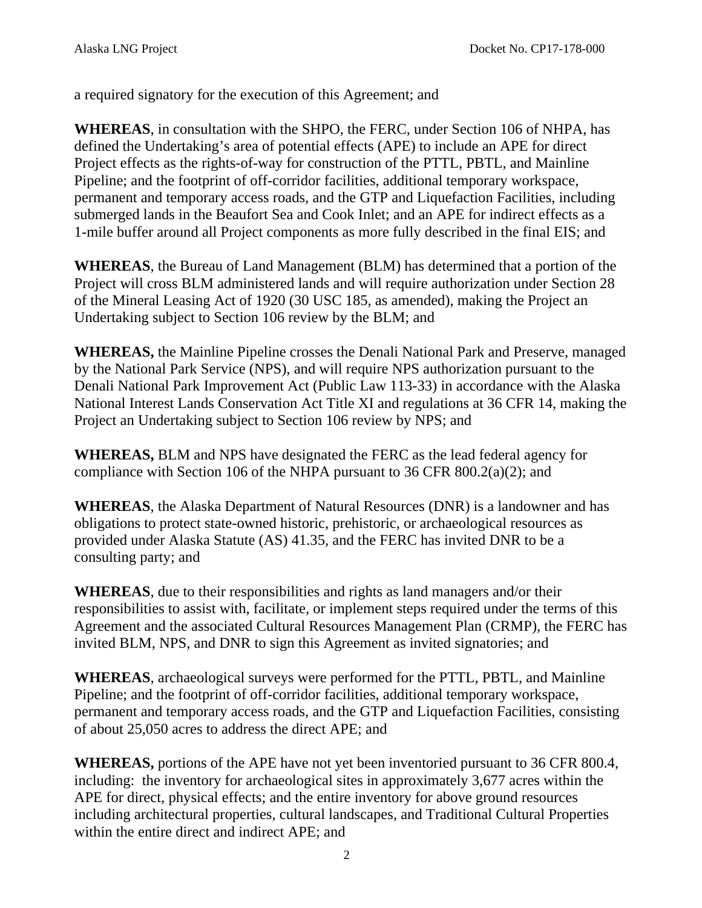a required signatory for the execution of this Agreement; and

**WHEREAS**, in consultation with the SHPO, the FERC, under Section 106 of NHPA, has defined the Undertaking's area of potential effects (APE) to include an APE for direct Project effects as the rights-of-way for construction of the PTTL, PBTL, and Mainline Pipeline; and the footprint of off-corridor facilities, additional temporary workspace, permanent and temporary access roads, and the GTP and Liquefaction Facilities, including submerged lands in the Beaufort Sea and Cook Inlet; and an APE for indirect effects as a 1-mile buffer around all Project components as more fully described in the final EIS; and

**WHEREAS**, the Bureau of Land Management (BLM) has determined that a portion of the Project will cross BLM administered lands and will require authorization under Section 28 of the Mineral Leasing Act of 1920 (30 USC 185, as amended), making the Project an Undertaking subject to Section 106 review by the BLM; and

**WHEREAS,** the Mainline Pipeline crosses the Denali National Park and Preserve, managed by the National Park Service (NPS), and will require NPS authorization pursuant to the Denali National Park Improvement Act (Public Law 113-33) in accordance with the Alaska National Interest Lands Conservation Act Title XI and regulations at 36 CFR 14, making the Project an Undertaking subject to Section 106 review by NPS; and

**WHEREAS,** BLM and NPS have designated the FERC as the lead federal agency for compliance with Section 106 of the NHPA pursuant to 36 CFR  $800.2(a)(2)$ ; and

**WHEREAS**, the Alaska Department of Natural Resources (DNR) is a landowner and has obligations to protect state-owned historic, prehistoric, or archaeological resources as provided under Alaska Statute (AS) 41.35, and the FERC has invited DNR to be a consulting party; and

**WHEREAS**, due to their responsibilities and rights as land managers and/or their responsibilities to assist with, facilitate, or implement steps required under the terms of this Agreement and the associated Cultural Resources Management Plan (CRMP), the FERC has invited BLM, NPS, and DNR to sign this Agreement as invited signatories; and

**WHEREAS**, archaeological surveys were performed for the PTTL, PBTL, and Mainline Pipeline; and the footprint of off-corridor facilities, additional temporary workspace, permanent and temporary access roads, and the GTP and Liquefaction Facilities, consisting of about 25,050 acres to address the direct APE; and

**WHEREAS,** portions of the APE have not yet been inventoried pursuant to 36 CFR 800.4, including: the inventory for archaeological sites in approximately 3,677 acres within the APE for direct, physical effects; and the entire inventory for above ground resources including architectural properties, cultural landscapes, and Traditional Cultural Properties within the entire direct and indirect APE; and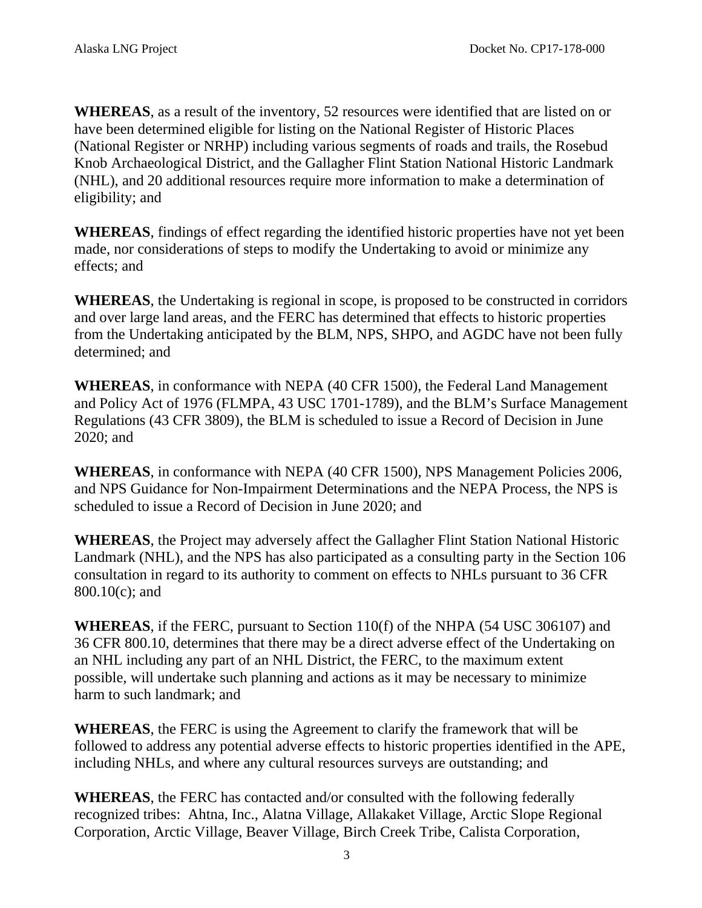**WHEREAS**, as a result of the inventory, 52 resources were identified that are listed on or have been determined eligible for listing on the National Register of Historic Places (National Register or NRHP) including various segments of roads and trails, the Rosebud Knob Archaeological District, and the Gallagher Flint Station National Historic Landmark (NHL), and 20 additional resources require more information to make a determination of eligibility; and

**WHEREAS**, findings of effect regarding the identified historic properties have not yet been made, nor considerations of steps to modify the Undertaking to avoid or minimize any effects; and

**WHEREAS**, the Undertaking is regional in scope, is proposed to be constructed in corridors and over large land areas, and the FERC has determined that effects to historic properties from the Undertaking anticipated by the BLM, NPS, SHPO, and AGDC have not been fully determined; and

**WHEREAS**, in conformance with NEPA (40 CFR 1500), the Federal Land Management and Policy Act of 1976 (FLMPA, 43 USC 1701-1789), and the BLM's Surface Management Regulations (43 CFR 3809), the BLM is scheduled to issue a Record of Decision in June 2020; and

**WHEREAS**, in conformance with NEPA (40 CFR 1500), NPS Management Policies 2006, and NPS Guidance for Non-Impairment Determinations and the NEPA Process, the NPS is scheduled to issue a Record of Decision in June 2020; and

**WHEREAS**, the Project may adversely affect the Gallagher Flint Station National Historic Landmark (NHL), and the NPS has also participated as a consulting party in the Section 106 consultation in regard to its authority to comment on effects to NHLs pursuant to 36 CFR 800.10(c); and

**WHEREAS**, if the FERC, pursuant to Section 110(f) of the NHPA (54 USC 306107) and 36 CFR 800.10, determines that there may be a direct adverse effect of the Undertaking on an NHL including any part of an NHL District, the FERC, to the maximum extent possible, will undertake such planning and actions as it may be necessary to minimize harm to such landmark; and

**WHEREAS**, the FERC is using the Agreement to clarify the framework that will be followed to address any potential adverse effects to historic properties identified in the APE, including NHLs, and where any cultural resources surveys are outstanding; and

**WHEREAS**, the FERC has contacted and/or consulted with the following federally recognized tribes: Ahtna, Inc., Alatna Village, Allakaket Village, Arctic Slope Regional Corporation, Arctic Village, Beaver Village, Birch Creek Tribe, Calista Corporation,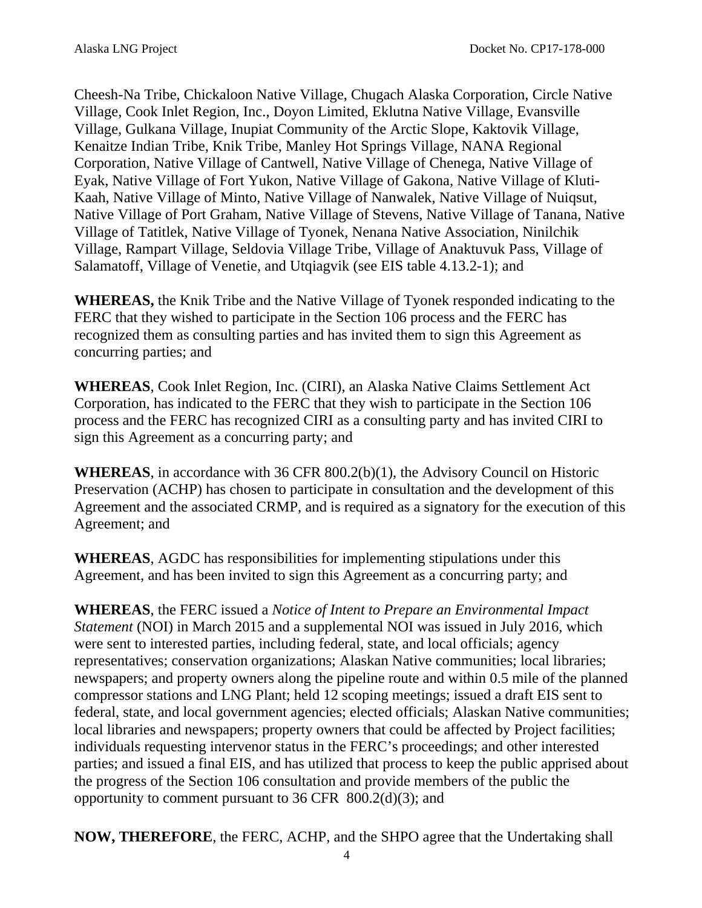Cheesh-Na Tribe, Chickaloon Native Village, Chugach Alaska Corporation, Circle Native Village, Cook Inlet Region, Inc., Doyon Limited, Eklutna Native Village, Evansville Village, Gulkana Village, Inupiat Community of the Arctic Slope, Kaktovik Village, Kenaitze Indian Tribe, Knik Tribe, Manley Hot Springs Village, NANA Regional Corporation, Native Village of Cantwell, Native Village of Chenega, Native Village of Eyak, Native Village of Fort Yukon, Native Village of Gakona, Native Village of Kluti-Kaah, Native Village of Minto, Native Village of Nanwalek, Native Village of Nuiqsut, Native Village of Port Graham, Native Village of Stevens, Native Village of Tanana, Native Village of Tatitlek, Native Village of Tyonek, Nenana Native Association, Ninilchik Village, Rampart Village, Seldovia Village Tribe, Village of Anaktuvuk Pass, Village of Salamatoff, Village of Venetie, and Utqiagvik (see EIS table 4.13.2-1); and

**WHEREAS,** the Knik Tribe and the Native Village of Tyonek responded indicating to the FERC that they wished to participate in the Section 106 process and the FERC has recognized them as consulting parties and has invited them to sign this Agreement as concurring parties; and

**WHEREAS**, Cook Inlet Region, Inc. (CIRI), an Alaska Native Claims Settlement Act Corporation, has indicated to the FERC that they wish to participate in the Section 106 process and the FERC has recognized CIRI as a consulting party and has invited CIRI to sign this Agreement as a concurring party; and

**WHEREAS**, in accordance with 36 CFR 800.2(b)(1), the Advisory Council on Historic Preservation (ACHP) has chosen to participate in consultation and the development of this Agreement and the associated CRMP, and is required as a signatory for the execution of this Agreement; and

**WHEREAS**, AGDC has responsibilities for implementing stipulations under this Agreement, and has been invited to sign this Agreement as a concurring party; and

**WHEREAS**, the FERC issued a *Notice of Intent to Prepare an Environmental Impact Statement* (NOI) in March 2015 and a supplemental NOI was issued in July 2016, which were sent to interested parties, including federal, state, and local officials; agency representatives; conservation organizations; Alaskan Native communities; local libraries; newspapers; and property owners along the pipeline route and within 0.5 mile of the planned compressor stations and LNG Plant; held 12 scoping meetings; issued a draft EIS sent to federal, state, and local government agencies; elected officials; Alaskan Native communities; local libraries and newspapers; property owners that could be affected by Project facilities; individuals requesting intervenor status in the FERC's proceedings; and other interested parties; and issued a final EIS, and has utilized that process to keep the public apprised about the progress of the Section 106 consultation and provide members of the public the opportunity to comment pursuant to  $36$  CFR  $800.2<sub>d</sub>)(3)$ ; and

**NOW, THEREFORE**, the FERC, ACHP, and the SHPO agree that the Undertaking shall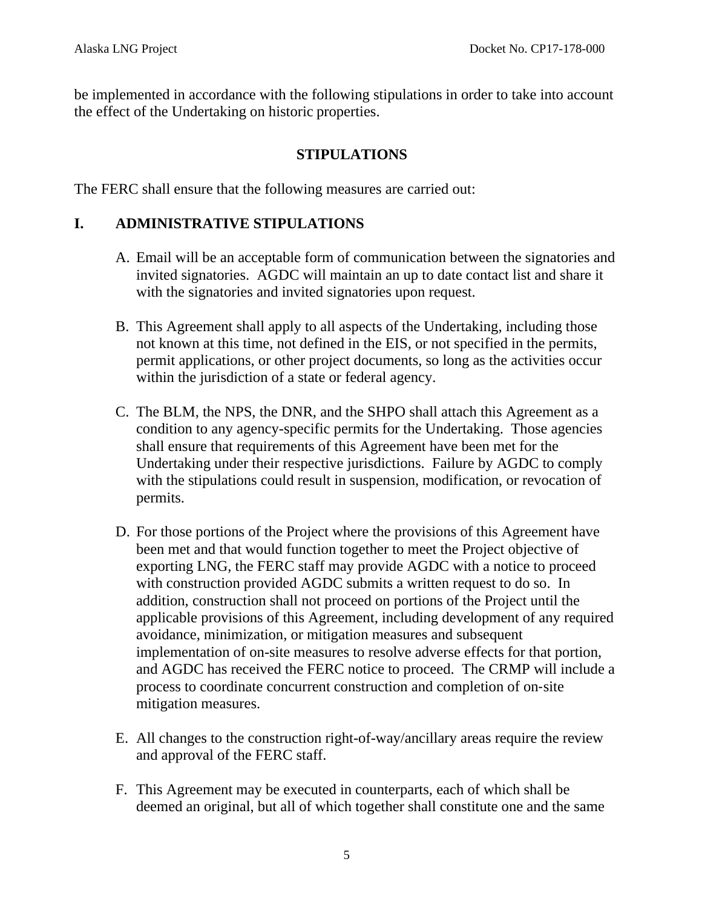be implemented in accordance with the following stipulations in order to take into account the effect of the Undertaking on historic properties.

### **STIPULATIONS**

The FERC shall ensure that the following measures are carried out:

## **I. ADMINISTRATIVE STIPULATIONS**

- A. Email will be an acceptable form of communication between the signatories and invited signatories. AGDC will maintain an up to date contact list and share it with the signatories and invited signatories upon request.
- B. This Agreement shall apply to all aspects of the Undertaking, including those not known at this time, not defined in the EIS, or not specified in the permits, permit applications, or other project documents, so long as the activities occur within the jurisdiction of a state or federal agency.
- C. The BLM, the NPS, the DNR, and the SHPO shall attach this Agreement as a condition to any agency-specific permits for the Undertaking. Those agencies shall ensure that requirements of this Agreement have been met for the Undertaking under their respective jurisdictions. Failure by AGDC to comply with the stipulations could result in suspension, modification, or revocation of permits.
- D. For those portions of the Project where the provisions of this Agreement have been met and that would function together to meet the Project objective of exporting LNG, the FERC staff may provide AGDC with a notice to proceed with construction provided AGDC submits a written request to do so. In addition, construction shall not proceed on portions of the Project until the applicable provisions of this Agreement, including development of any required avoidance, minimization, or mitigation measures and subsequent implementation of on-site measures to resolve adverse effects for that portion, and AGDC has received the FERC notice to proceed. The CRMP will include a process to coordinate concurrent construction and completion of on‐site mitigation measures.
- E. All changes to the construction right-of-way/ancillary areas require the review and approval of the FERC staff.
- F. This Agreement may be executed in counterparts, each of which shall be deemed an original, but all of which together shall constitute one and the same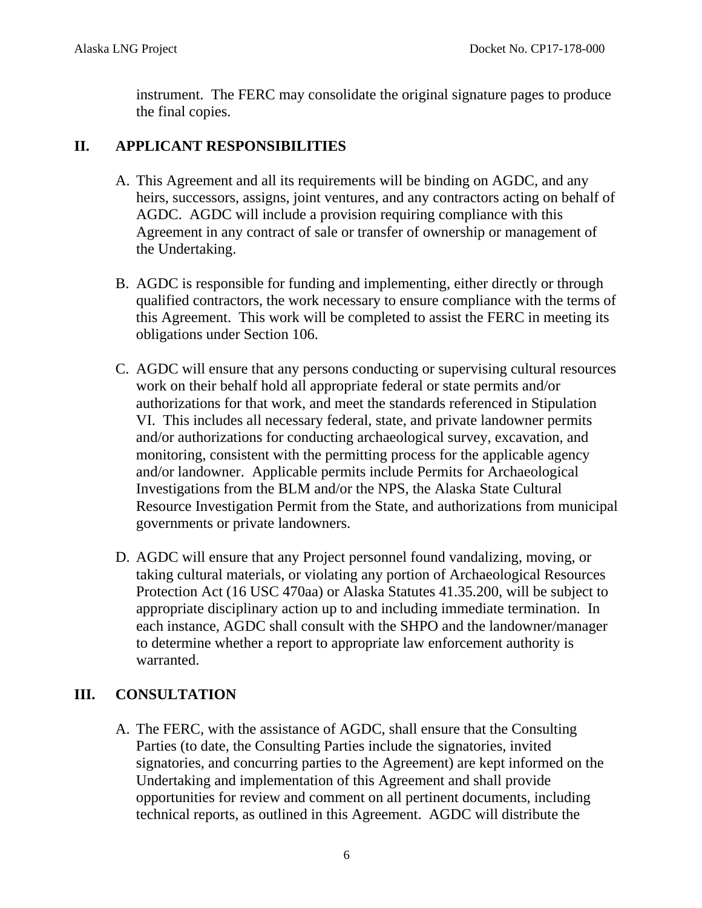instrument. The FERC may consolidate the original signature pages to produce the final copies.

## **II. APPLICANT RESPONSIBILITIES**

- A. This Agreement and all its requirements will be binding on AGDC, and any heirs, successors, assigns, joint ventures, and any contractors acting on behalf of AGDC. AGDC will include a provision requiring compliance with this Agreement in any contract of sale or transfer of ownership or management of the Undertaking.
- B. AGDC is responsible for funding and implementing, either directly or through qualified contractors, the work necessary to ensure compliance with the terms of this Agreement. This work will be completed to assist the FERC in meeting its obligations under Section 106.
- C. AGDC will ensure that any persons conducting or supervising cultural resources work on their behalf hold all appropriate federal or state permits and/or authorizations for that work, and meet the standards referenced in Stipulation VI. This includes all necessary federal, state, and private landowner permits and/or authorizations for conducting archaeological survey, excavation, and monitoring, consistent with the permitting process for the applicable agency and/or landowner. Applicable permits include Permits for Archaeological Investigations from the BLM and/or the NPS, the Alaska State Cultural Resource Investigation Permit from the State, and authorizations from municipal governments or private landowners.
- D. AGDC will ensure that any Project personnel found vandalizing, moving, or taking cultural materials, or violating any portion of Archaeological Resources Protection Act (16 USC 470aa) or Alaska Statutes 41.35.200, will be subject to appropriate disciplinary action up to and including immediate termination. In each instance, AGDC shall consult with the SHPO and the landowner/manager to determine whether a report to appropriate law enforcement authority is warranted.

## **III. CONSULTATION**

A. The FERC, with the assistance of AGDC, shall ensure that the Consulting Parties (to date, the Consulting Parties include the signatories, invited signatories, and concurring parties to the Agreement) are kept informed on the Undertaking and implementation of this Agreement and shall provide opportunities for review and comment on all pertinent documents, including technical reports, as outlined in this Agreement. AGDC will distribute the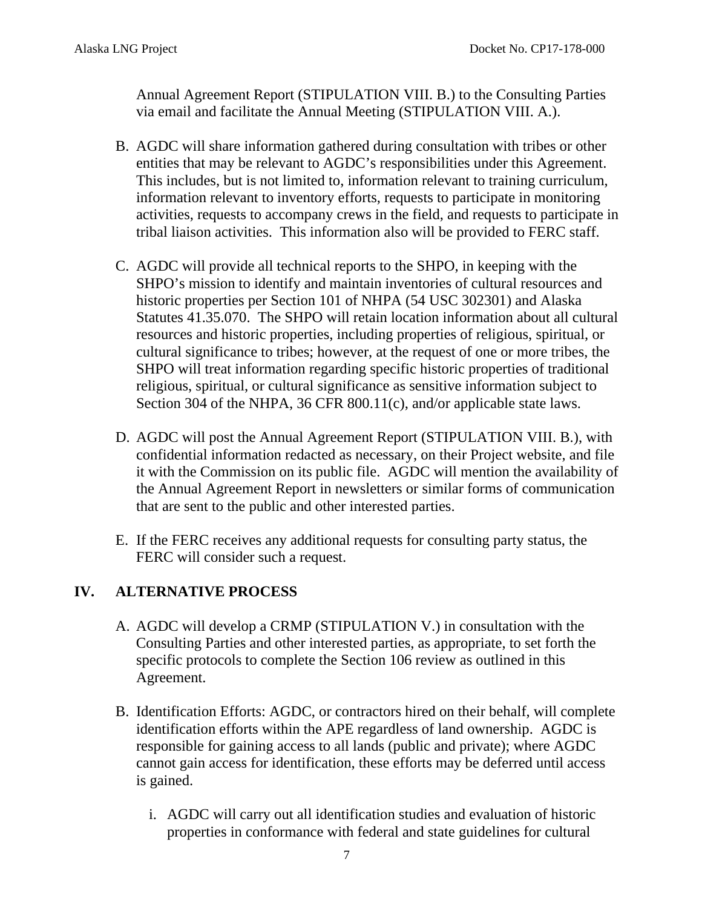Annual Agreement Report (STIPULATION VIII. B.) to the Consulting Parties via email and facilitate the Annual Meeting (STIPULATION VIII. A.).

- B. AGDC will share information gathered during consultation with tribes or other entities that may be relevant to AGDC's responsibilities under this Agreement. This includes, but is not limited to, information relevant to training curriculum, information relevant to inventory efforts, requests to participate in monitoring activities, requests to accompany crews in the field, and requests to participate in tribal liaison activities. This information also will be provided to FERC staff.
- C. AGDC will provide all technical reports to the SHPO, in keeping with the SHPO's mission to identify and maintain inventories of cultural resources and historic properties per Section 101 of NHPA (54 USC 302301) and Alaska Statutes 41.35.070. The SHPO will retain location information about all cultural resources and historic properties, including properties of religious, spiritual, or cultural significance to tribes; however, at the request of one or more tribes, the SHPO will treat information regarding specific historic properties of traditional religious, spiritual, or cultural significance as sensitive information subject to Section 304 of the NHPA, 36 CFR 800.11(c), and/or applicable state laws.
- D. AGDC will post the Annual Agreement Report (STIPULATION VIII. B.), with confidential information redacted as necessary, on their Project website, and file it with the Commission on its public file. AGDC will mention the availability of the Annual Agreement Report in newsletters or similar forms of communication that are sent to the public and other interested parties.
- E. If the FERC receives any additional requests for consulting party status, the FERC will consider such a request.

### **IV. ALTERNATIVE PROCESS**

- A. AGDC will develop a CRMP (STIPULATION V.) in consultation with the Consulting Parties and other interested parties, as appropriate, to set forth the specific protocols to complete the Section 106 review as outlined in this Agreement.
- B. Identification Efforts: AGDC, or contractors hired on their behalf, will complete identification efforts within the APE regardless of land ownership. AGDC is responsible for gaining access to all lands (public and private); where AGDC cannot gain access for identification, these efforts may be deferred until access is gained.
	- i. AGDC will carry out all identification studies and evaluation of historic properties in conformance with federal and state guidelines for cultural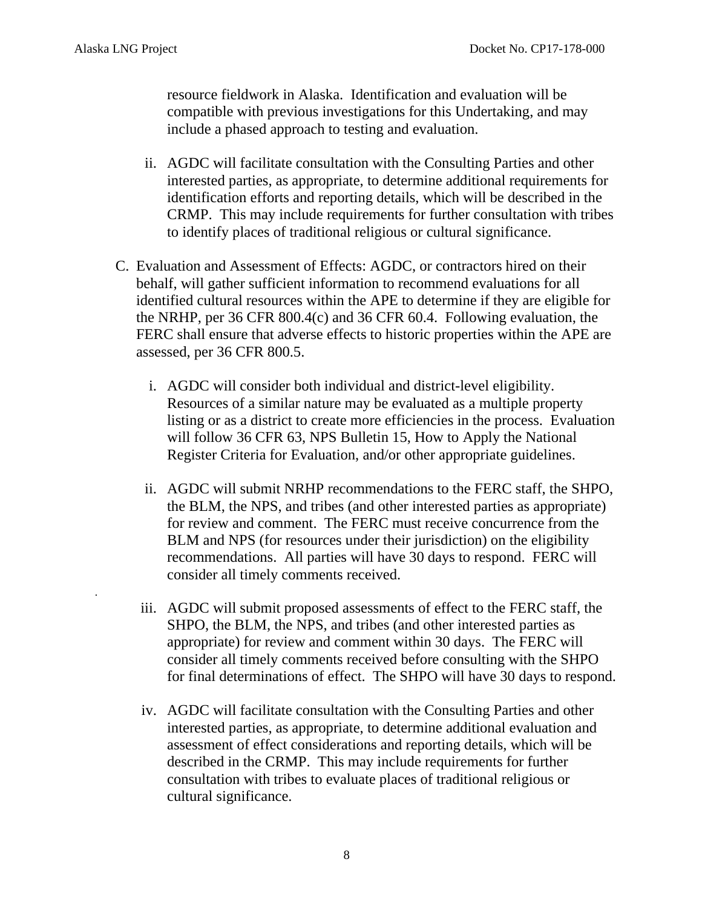.

resource fieldwork in Alaska. Identification and evaluation will be compatible with previous investigations for this Undertaking, and may include a phased approach to testing and evaluation.

- ii. AGDC will facilitate consultation with the Consulting Parties and other interested parties, as appropriate, to determine additional requirements for identification efforts and reporting details, which will be described in the CRMP. This may include requirements for further consultation with tribes to identify places of traditional religious or cultural significance.
- C. Evaluation and Assessment of Effects: AGDC, or contractors hired on their behalf, will gather sufficient information to recommend evaluations for all identified cultural resources within the APE to determine if they are eligible for the NRHP, per 36 CFR 800.4(c) and 36 CFR 60.4. Following evaluation, the FERC shall ensure that adverse effects to historic properties within the APE are assessed, per 36 CFR 800.5.
	- i. AGDC will consider both individual and district-level eligibility. Resources of a similar nature may be evaluated as a multiple property listing or as a district to create more efficiencies in the process. Evaluation will follow 36 CFR 63, NPS Bulletin 15, How to Apply the National Register Criteria for Evaluation, and/or other appropriate guidelines.
	- ii. AGDC will submit NRHP recommendations to the FERC staff, the SHPO, the BLM, the NPS, and tribes (and other interested parties as appropriate) for review and comment. The FERC must receive concurrence from the BLM and NPS (for resources under their jurisdiction) on the eligibility recommendations. All parties will have 30 days to respond. FERC will consider all timely comments received.
	- iii. AGDC will submit proposed assessments of effect to the FERC staff, the SHPO, the BLM, the NPS, and tribes (and other interested parties as appropriate) for review and comment within 30 days. The FERC will consider all timely comments received before consulting with the SHPO for final determinations of effect. The SHPO will have 30 days to respond.
	- iv. AGDC will facilitate consultation with the Consulting Parties and other interested parties, as appropriate, to determine additional evaluation and assessment of effect considerations and reporting details, which will be described in the CRMP. This may include requirements for further consultation with tribes to evaluate places of traditional religious or cultural significance.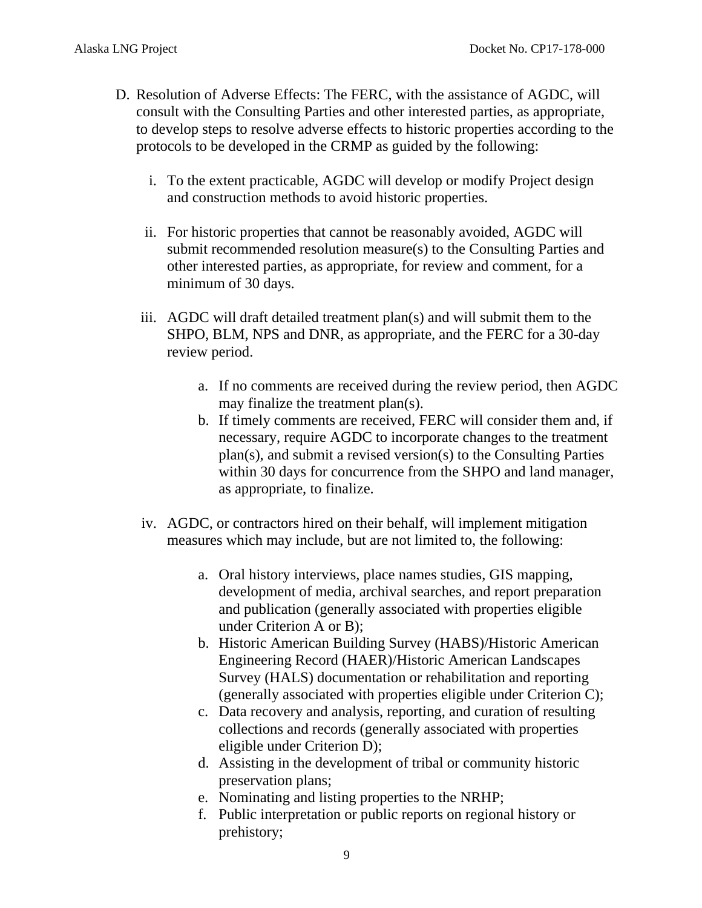- D. Resolution of Adverse Effects: The FERC, with the assistance of AGDC, will consult with the Consulting Parties and other interested parties, as appropriate, to develop steps to resolve adverse effects to historic properties according to the protocols to be developed in the CRMP as guided by the following:
	- i. To the extent practicable, AGDC will develop or modify Project design and construction methods to avoid historic properties.
	- ii. For historic properties that cannot be reasonably avoided, AGDC will submit recommended resolution measure(s) to the Consulting Parties and other interested parties, as appropriate, for review and comment, for a minimum of 30 days.
	- iii. AGDC will draft detailed treatment plan(s) and will submit them to the SHPO, BLM, NPS and DNR, as appropriate, and the FERC for a 30-day review period.
		- a. If no comments are received during the review period, then AGDC may finalize the treatment plan(s).
		- b. If timely comments are received, FERC will consider them and, if necessary, require AGDC to incorporate changes to the treatment plan(s), and submit a revised version(s) to the Consulting Parties within 30 days for concurrence from the SHPO and land manager, as appropriate, to finalize.
	- iv. AGDC, or contractors hired on their behalf, will implement mitigation measures which may include, but are not limited to, the following:
		- a. Oral history interviews, place names studies, GIS mapping, development of media, archival searches, and report preparation and publication (generally associated with properties eligible under Criterion A or B);
		- b. Historic American Building Survey (HABS)/Historic American Engineering Record (HAER)/Historic American Landscapes Survey (HALS) documentation or rehabilitation and reporting (generally associated with properties eligible under Criterion C);
		- c. Data recovery and analysis, reporting, and curation of resulting collections and records (generally associated with properties eligible under Criterion D);
		- d. Assisting in the development of tribal or community historic preservation plans;
		- e. Nominating and listing properties to the NRHP;
		- f. Public interpretation or public reports on regional history or prehistory;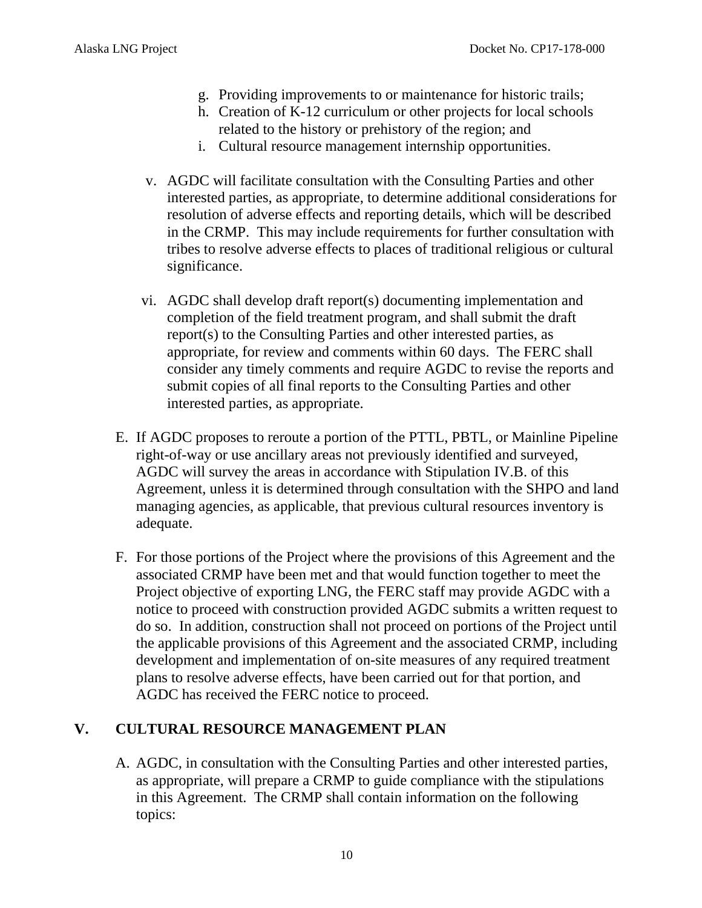- g. Providing improvements to or maintenance for historic trails;
- h. Creation of K-12 curriculum or other projects for local schools related to the history or prehistory of the region; and
- i. Cultural resource management internship opportunities.
- v. AGDC will facilitate consultation with the Consulting Parties and other interested parties, as appropriate, to determine additional considerations for resolution of adverse effects and reporting details, which will be described in the CRMP. This may include requirements for further consultation with tribes to resolve adverse effects to places of traditional religious or cultural significance.
- vi. AGDC shall develop draft report(s) documenting implementation and completion of the field treatment program, and shall submit the draft report(s) to the Consulting Parties and other interested parties, as appropriate, for review and comments within 60 days. The FERC shall consider any timely comments and require AGDC to revise the reports and submit copies of all final reports to the Consulting Parties and other interested parties, as appropriate.
- E. If AGDC proposes to reroute a portion of the PTTL, PBTL, or Mainline Pipeline right-of-way or use ancillary areas not previously identified and surveyed, AGDC will survey the areas in accordance with Stipulation IV.B. of this Agreement, unless it is determined through consultation with the SHPO and land managing agencies, as applicable, that previous cultural resources inventory is adequate.
- F. For those portions of the Project where the provisions of this Agreement and the associated CRMP have been met and that would function together to meet the Project objective of exporting LNG, the FERC staff may provide AGDC with a notice to proceed with construction provided AGDC submits a written request to do so. In addition, construction shall not proceed on portions of the Project until the applicable provisions of this Agreement and the associated CRMP, including development and implementation of on-site measures of any required treatment plans to resolve adverse effects, have been carried out for that portion, and AGDC has received the FERC notice to proceed.

## **V. CULTURAL RESOURCE MANAGEMENT PLAN**

A. AGDC, in consultation with the Consulting Parties and other interested parties, as appropriate, will prepare a CRMP to guide compliance with the stipulations in this Agreement. The CRMP shall contain information on the following topics: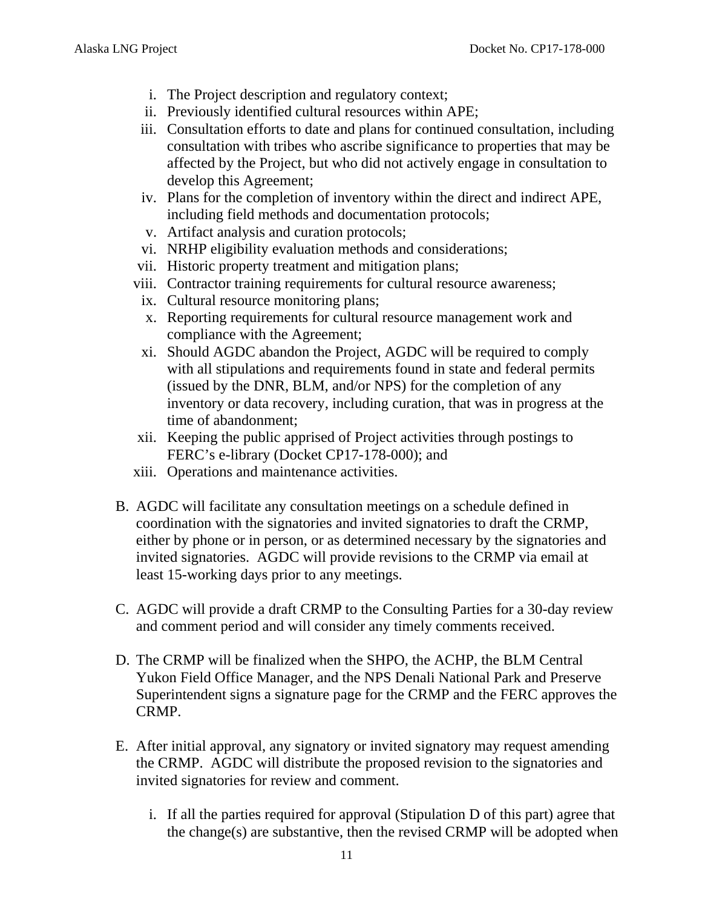- i. The Project description and regulatory context;
- ii. Previously identified cultural resources within APE;
- iii. Consultation efforts to date and plans for continued consultation, including consultation with tribes who ascribe significance to properties that may be affected by the Project, but who did not actively engage in consultation to develop this Agreement;
- iv. Plans for the completion of inventory within the direct and indirect APE, including field methods and documentation protocols;
- v. Artifact analysis and curation protocols;
- vi. NRHP eligibility evaluation methods and considerations;
- vii. Historic property treatment and mitigation plans;
- viii. Contractor training requirements for cultural resource awareness;
	- ix. Cultural resource monitoring plans;
	- x. Reporting requirements for cultural resource management work and compliance with the Agreement;
- xi. Should AGDC abandon the Project, AGDC will be required to comply with all stipulations and requirements found in state and federal permits (issued by the DNR, BLM, and/or NPS) for the completion of any inventory or data recovery, including curation, that was in progress at the time of abandonment;
- xii. Keeping the public apprised of Project activities through postings to FERC's e-library (Docket CP17-178-000); and
- xiii. Operations and maintenance activities.
- B. AGDC will facilitate any consultation meetings on a schedule defined in coordination with the signatories and invited signatories to draft the CRMP, either by phone or in person, or as determined necessary by the signatories and invited signatories. AGDC will provide revisions to the CRMP via email at least 15-working days prior to any meetings.
- C. AGDC will provide a draft CRMP to the Consulting Parties for a 30-day review and comment period and will consider any timely comments received.
- D. The CRMP will be finalized when the SHPO, the ACHP, the BLM Central Yukon Field Office Manager, and the NPS Denali National Park and Preserve Superintendent signs a signature page for the CRMP and the FERC approves the CRMP.
- E. After initial approval, any signatory or invited signatory may request amending the CRMP. AGDC will distribute the proposed revision to the signatories and invited signatories for review and comment.
	- i. If all the parties required for approval (Stipulation D of this part) agree that the change(s) are substantive, then the revised CRMP will be adopted when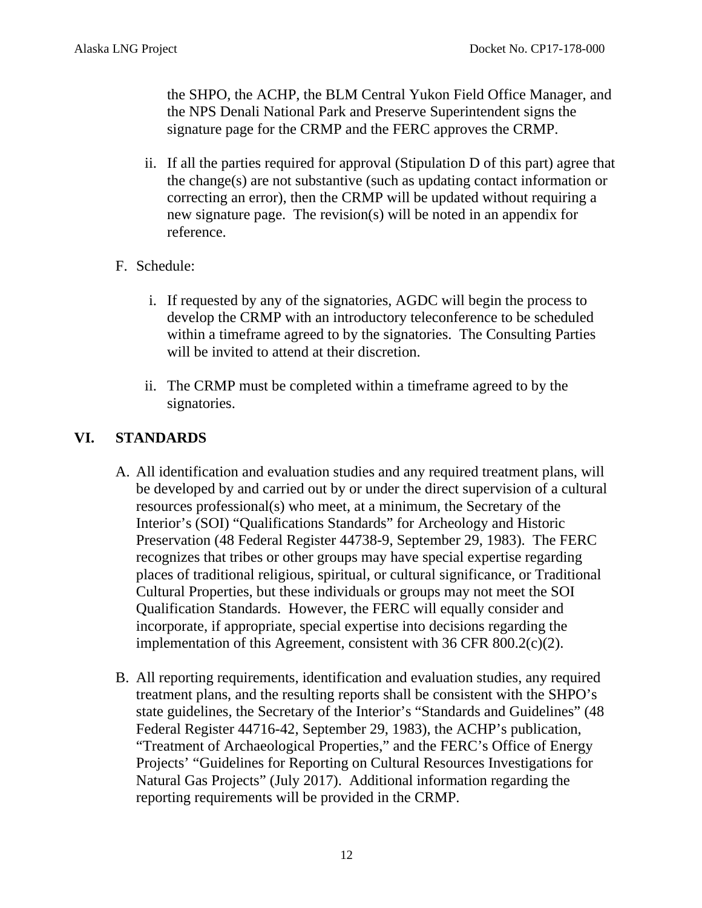the SHPO, the ACHP, the BLM Central Yukon Field Office Manager, and the NPS Denali National Park and Preserve Superintendent signs the signature page for the CRMP and the FERC approves the CRMP.

- ii. If all the parties required for approval (Stipulation D of this part) agree that the change(s) are not substantive (such as updating contact information or correcting an error), then the CRMP will be updated without requiring a new signature page. The revision(s) will be noted in an appendix for reference.
- F. Schedule:
	- i. If requested by any of the signatories, AGDC will begin the process to develop the CRMP with an introductory teleconference to be scheduled within a timeframe agreed to by the signatories. The Consulting Parties will be invited to attend at their discretion.
	- ii. The CRMP must be completed within a timeframe agreed to by the signatories.

## **VI. STANDARDS**

- A. All identification and evaluation studies and any required treatment plans, will be developed by and carried out by or under the direct supervision of a cultural resources professional(s) who meet, at a minimum, the Secretary of the Interior's (SOI) "Qualifications Standards" for Archeology and Historic Preservation (48 Federal Register 44738-9, September 29, 1983). The FERC recognizes that tribes or other groups may have special expertise regarding places of traditional religious, spiritual, or cultural significance, or Traditional Cultural Properties, but these individuals or groups may not meet the SOI Qualification Standards. However, the FERC will equally consider and incorporate, if appropriate, special expertise into decisions regarding the implementation of this Agreement, consistent with 36 CFR 800.2(c)(2).
- B. All reporting requirements, identification and evaluation studies, any required treatment plans, and the resulting reports shall be consistent with the SHPO's state guidelines, the Secretary of the Interior's "Standards and Guidelines" (48 Federal Register 44716-42, September 29, 1983), the ACHP's publication, "Treatment of Archaeological Properties," and the FERC's Office of Energy Projects' "Guidelines for Reporting on Cultural Resources Investigations for Natural Gas Projects" (July 2017). Additional information regarding the reporting requirements will be provided in the CRMP.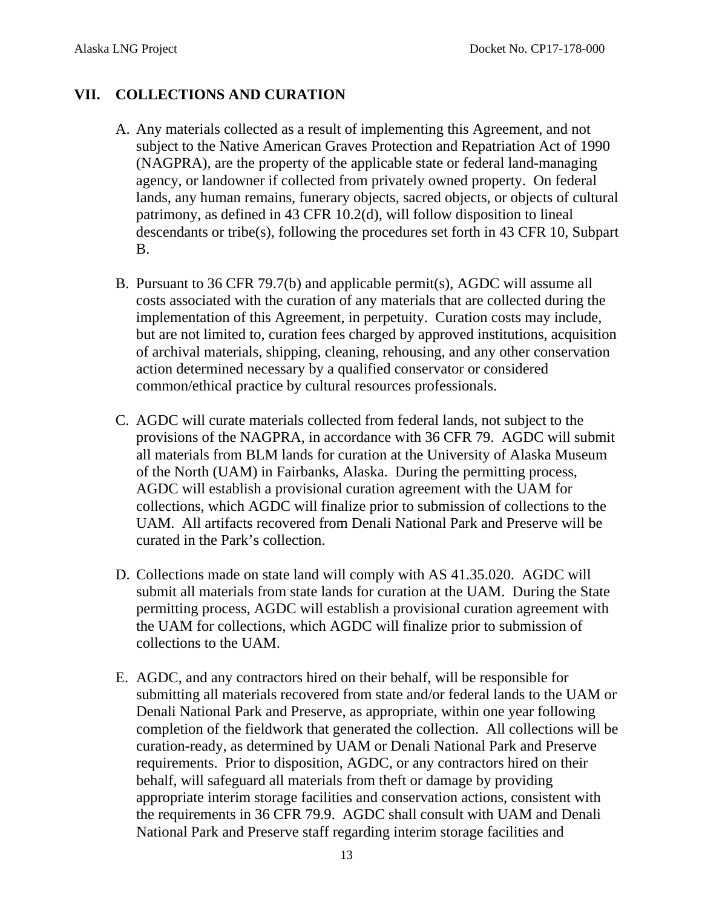## **VII. COLLECTIONS AND CURATION**

- A. Any materials collected as a result of implementing this Agreement, and not subject to the Native American Graves Protection and Repatriation Act of 1990 (NAGPRA), are the property of the applicable state or federal land-managing agency, or landowner if collected from privately owned property. On federal lands, any human remains, funerary objects, sacred objects, or objects of cultural patrimony, as defined in 43 CFR 10.2(d), will follow disposition to lineal descendants or tribe(s), following the procedures set forth in 43 CFR 10, Subpart B.
- B. Pursuant to 36 CFR 79.7(b) and applicable permit(s), AGDC will assume all costs associated with the curation of any materials that are collected during the implementation of this Agreement, in perpetuity. Curation costs may include, but are not limited to, curation fees charged by approved institutions, acquisition of archival materials, shipping, cleaning, rehousing, and any other conservation action determined necessary by a qualified conservator or considered common/ethical practice by cultural resources professionals.
- C. AGDC will curate materials collected from federal lands, not subject to the provisions of the NAGPRA, in accordance with 36 CFR 79. AGDC will submit all materials from BLM lands for curation at the University of Alaska Museum of the North (UAM) in Fairbanks, Alaska. During the permitting process, AGDC will establish a provisional curation agreement with the UAM for collections, which AGDC will finalize prior to submission of collections to the UAM. All artifacts recovered from Denali National Park and Preserve will be curated in the Park's collection.
- D. Collections made on state land will comply with AS 41.35.020. AGDC will submit all materials from state lands for curation at the UAM. During the State permitting process, AGDC will establish a provisional curation agreement with the UAM for collections, which AGDC will finalize prior to submission of collections to the UAM.
- E. AGDC, and any contractors hired on their behalf, will be responsible for submitting all materials recovered from state and/or federal lands to the UAM or Denali National Park and Preserve, as appropriate, within one year following completion of the fieldwork that generated the collection. All collections will be curation-ready, as determined by UAM or Denali National Park and Preserve requirements. Prior to disposition, AGDC, or any contractors hired on their behalf, will safeguard all materials from theft or damage by providing appropriate interim storage facilities and conservation actions, consistent with the requirements in 36 CFR 79.9. AGDC shall consult with UAM and Denali National Park and Preserve staff regarding interim storage facilities and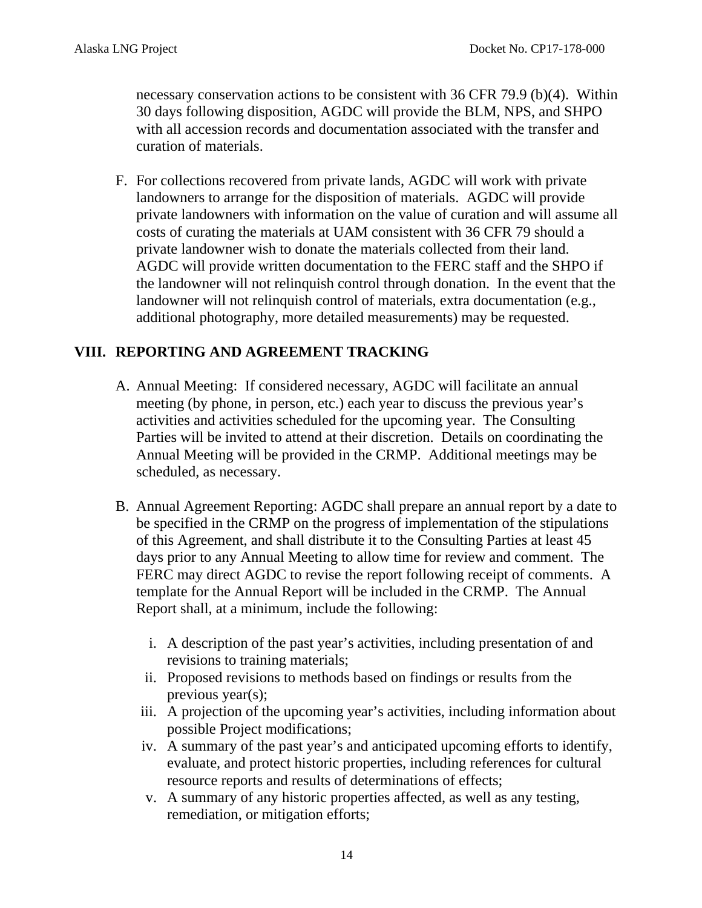necessary conservation actions to be consistent with 36 CFR 79.9 (b)(4). Within 30 days following disposition, AGDC will provide the BLM, NPS, and SHPO with all accession records and documentation associated with the transfer and curation of materials.

F. For collections recovered from private lands, AGDC will work with private landowners to arrange for the disposition of materials. AGDC will provide private landowners with information on the value of curation and will assume all costs of curating the materials at UAM consistent with 36 CFR 79 should a private landowner wish to donate the materials collected from their land. AGDC will provide written documentation to the FERC staff and the SHPO if the landowner will not relinquish control through donation. In the event that the landowner will not relinquish control of materials, extra documentation (e.g., additional photography, more detailed measurements) may be requested.

## **VIII. REPORTING AND AGREEMENT TRACKING**

- A. Annual Meeting: If considered necessary, AGDC will facilitate an annual meeting (by phone, in person, etc.) each year to discuss the previous year's activities and activities scheduled for the upcoming year. The Consulting Parties will be invited to attend at their discretion. Details on coordinating the Annual Meeting will be provided in the CRMP. Additional meetings may be scheduled, as necessary.
- B. Annual Agreement Reporting: AGDC shall prepare an annual report by a date to be specified in the CRMP on the progress of implementation of the stipulations of this Agreement, and shall distribute it to the Consulting Parties at least 45 days prior to any Annual Meeting to allow time for review and comment. The FERC may direct AGDC to revise the report following receipt of comments. A template for the Annual Report will be included in the CRMP. The Annual Report shall, at a minimum, include the following:
	- i. A description of the past year's activities, including presentation of and revisions to training materials;
	- ii. Proposed revisions to methods based on findings or results from the previous year(s);
	- iii. A projection of the upcoming year's activities, including information about possible Project modifications;
	- iv. A summary of the past year's and anticipated upcoming efforts to identify, evaluate, and protect historic properties, including references for cultural resource reports and results of determinations of effects;
	- v. A summary of any historic properties affected, as well as any testing, remediation, or mitigation efforts;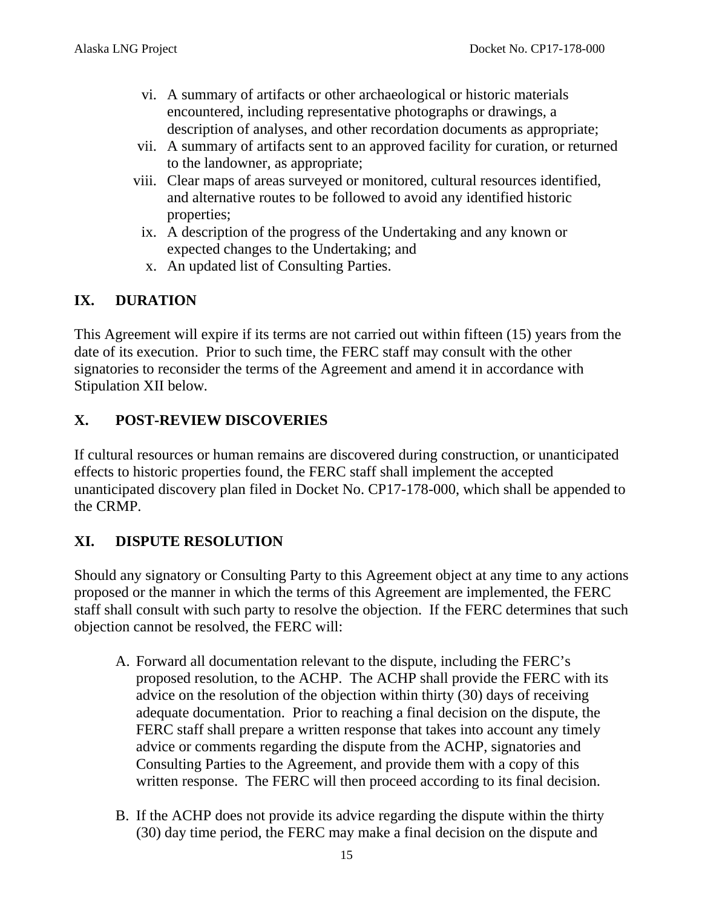- vi. A summary of artifacts or other archaeological or historic materials encountered, including representative photographs or drawings, a description of analyses, and other recordation documents as appropriate;
- vii. A summary of artifacts sent to an approved facility for curation, or returned to the landowner, as appropriate;
- viii. Clear maps of areas surveyed or monitored, cultural resources identified, and alternative routes to be followed to avoid any identified historic properties;
- ix. A description of the progress of the Undertaking and any known or expected changes to the Undertaking; and
- x. An updated list of Consulting Parties.

# **IX. DURATION**

This Agreement will expire if its terms are not carried out within fifteen (15) years from the date of its execution. Prior to such time, the FERC staff may consult with the other signatories to reconsider the terms of the Agreement and amend it in accordance with Stipulation XII below*.*

# **X. POST-REVIEW DISCOVERIES**

If cultural resources or human remains are discovered during construction, or unanticipated effects to historic properties found, the FERC staff shall implement the accepted unanticipated discovery plan filed in Docket No. CP17-178-000, which shall be appended to the CRMP.

# **XI. DISPUTE RESOLUTION**

Should any signatory or Consulting Party to this Agreement object at any time to any actions proposed or the manner in which the terms of this Agreement are implemented, the FERC staff shall consult with such party to resolve the objection. If the FERC determines that such objection cannot be resolved, the FERC will:

- A. Forward all documentation relevant to the dispute, including the FERC's proposed resolution, to the ACHP. The ACHP shall provide the FERC with its advice on the resolution of the objection within thirty (30) days of receiving adequate documentation. Prior to reaching a final decision on the dispute, the FERC staff shall prepare a written response that takes into account any timely advice or comments regarding the dispute from the ACHP, signatories and Consulting Parties to the Agreement, and provide them with a copy of this written response. The FERC will then proceed according to its final decision.
- B. If the ACHP does not provide its advice regarding the dispute within the thirty (30) day time period, the FERC may make a final decision on the dispute and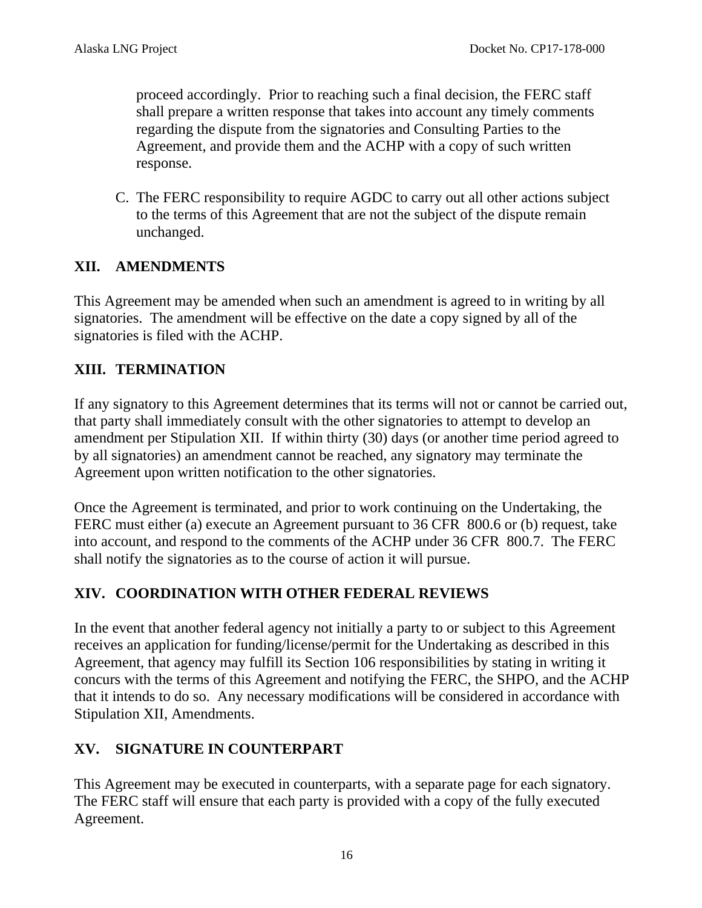proceed accordingly. Prior to reaching such a final decision, the FERC staff shall prepare a written response that takes into account any timely comments regarding the dispute from the signatories and Consulting Parties to the Agreement, and provide them and the ACHP with a copy of such written response.

C. The FERC responsibility to require AGDC to carry out all other actions subject to the terms of this Agreement that are not the subject of the dispute remain unchanged.

## **XII. AMENDMENTS**

This Agreement may be amended when such an amendment is agreed to in writing by all signatories. The amendment will be effective on the date a copy signed by all of the signatories is filed with the ACHP.

# **XIII. TERMINATION**

If any signatory to this Agreement determines that its terms will not or cannot be carried out, that party shall immediately consult with the other signatories to attempt to develop an amendment per Stipulation XII. If within thirty (30) days (or another time period agreed to by all signatories) an amendment cannot be reached, any signatory may terminate the Agreement upon written notification to the other signatories.

Once the Agreement is terminated, and prior to work continuing on the Undertaking, the FERC must either (a) execute an Agreement pursuant to 36 CFR 800.6 or (b) request, take into account, and respond to the comments of the ACHP under 36 CFR 800.7. The FERC shall notify the signatories as to the course of action it will pursue.

## **XIV. COORDINATION WITH OTHER FEDERAL REVIEWS**

In the event that another federal agency not initially a party to or subject to this Agreement receives an application for funding/license/permit for the Undertaking as described in this Agreement, that agency may fulfill its Section 106 responsibilities by stating in writing it concurs with the terms of this Agreement and notifying the FERC, the SHPO, and the ACHP that it intends to do so. Any necessary modifications will be considered in accordance with Stipulation XII, Amendments.

# **XV. SIGNATURE IN COUNTERPART**

This Agreement may be executed in counterparts, with a separate page for each signatory. The FERC staff will ensure that each party is provided with a copy of the fully executed Agreement.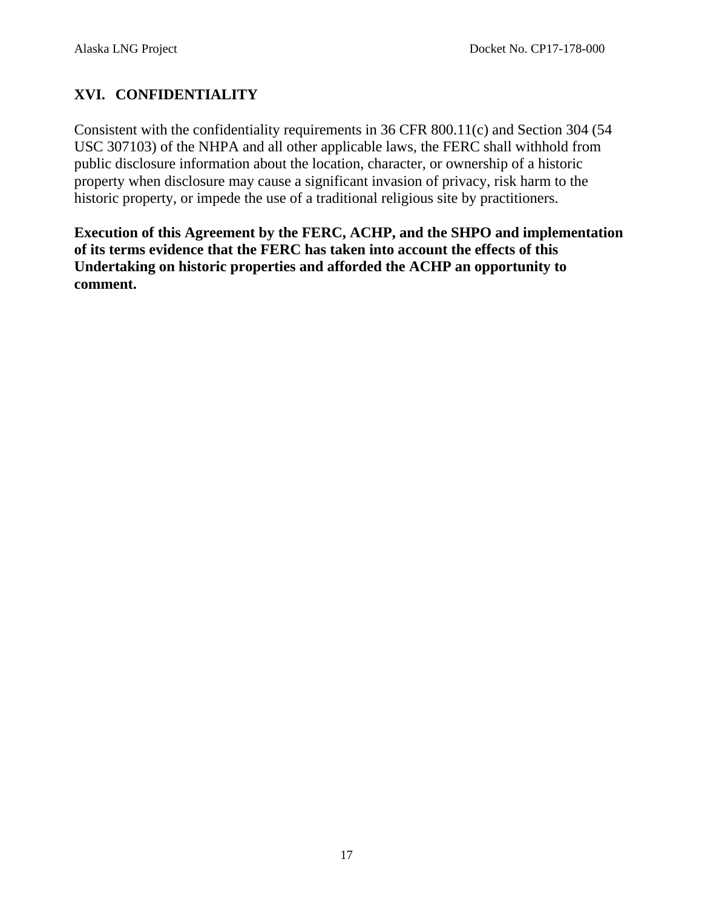# **XVI. CONFIDENTIALITY**

Consistent with the confidentiality requirements in 36 CFR 800.11(c) and Section 304 (54 USC 307103) of the NHPA and all other applicable laws, the FERC shall withhold from public disclosure information about the location, character, or ownership of a historic property when disclosure may cause a significant invasion of privacy, risk harm to the historic property, or impede the use of a traditional religious site by practitioners.

**Execution of this Agreement by the FERC, ACHP, and the SHPO and implementation of its terms evidence that the FERC has taken into account the effects of this Undertaking on historic properties and afforded the ACHP an opportunity to comment.**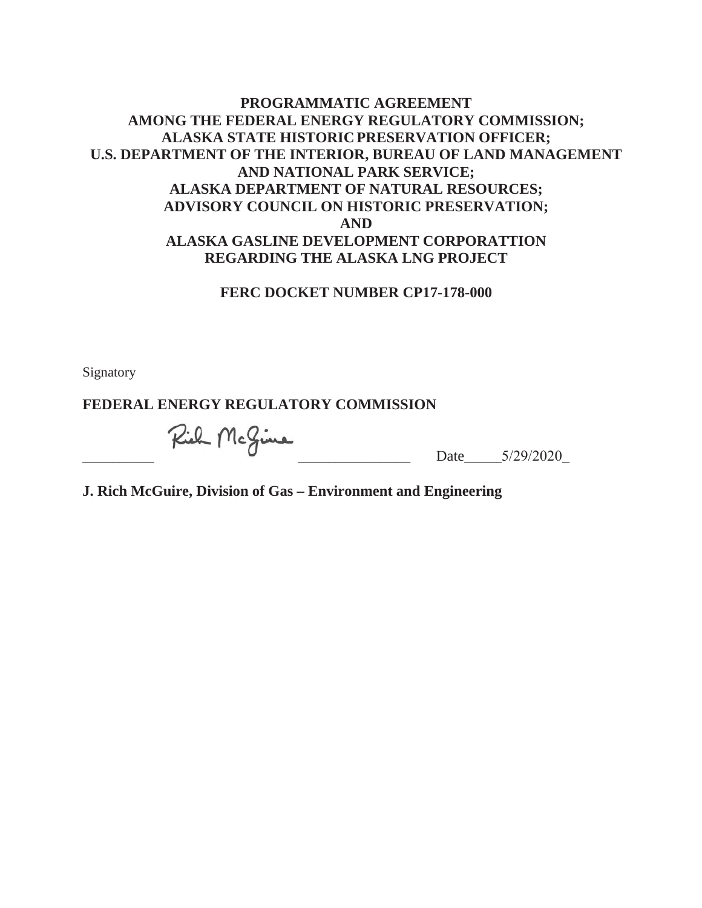### **PROGRAMMATIC AGREEMENT AMONG THE FEDERAL ENERGY REGULATORY COMMISSION; ALASKA STATE HISTORIC PRESERVATION OFFICER; U.S. DEPARTMENT OF THE INTERIOR, BUREAU OF LAND MANAGEMENT AND NATIONAL PARK SERVICE; ALASKA DEPARTMENT OF NATURAL RESOURCES; ADVISORY COUNCIL ON HISTORIC PRESERVATION; AND ALASKA GASLINE DEVELOPMENT CORPORATTION REGARDING THE ALASKA LNG PROJECT**

#### **FERC DOCKET NUMBER CP17-178-000**

Signatory

### **FEDERAL ENERGY REGULATORY COMMISSION**

 $Rieh$  McGine Date  $5/29/2020$ 

**J. Rich McGuire, Division of Gas – Environment and Engineering**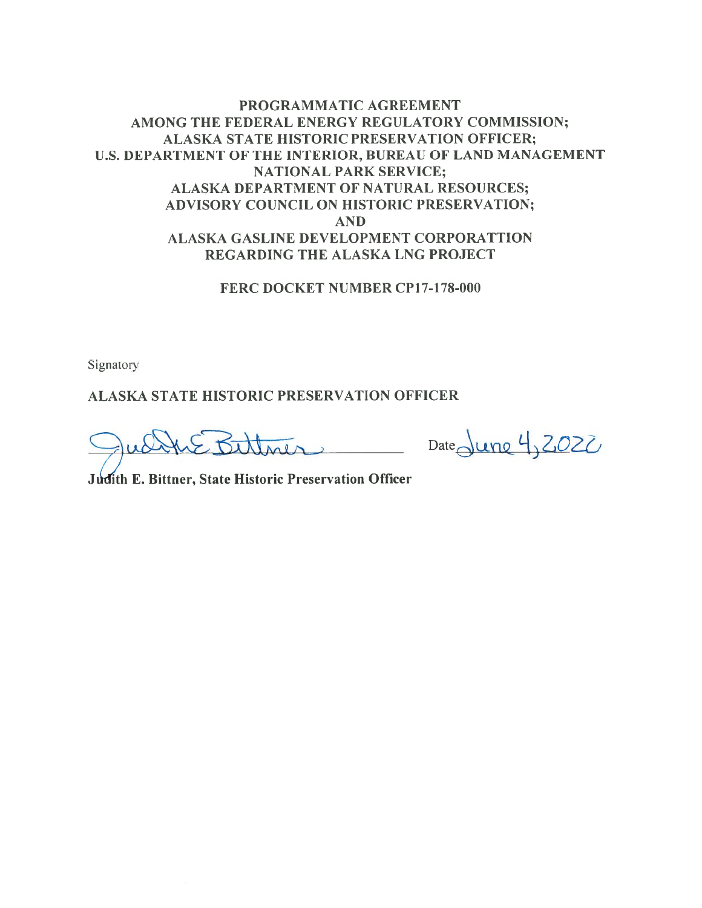### PROGRAMMATIC AGREEMENT AMONG THE FEDERAL ENERGY REGULATORY COMMISSION; **ALASKA STATE HISTORIC PRESERVATION OFFICER;** U.S. DEPARTMENT OF THE INTERIOR, BUREAU OF LAND MANAGEMENT **NATIONAL PARK SERVICE;** ALASKA DEPARTMENT OF NATURAL RESOURCES; ADVISORY COUNCIL ON HISTORIC PRESERVATION; **AND ALASKA GASLINE DEVELOPMENT CORPORATTION** REGARDING THE ALASKA LNG PROJECT

#### FERC DOCKET NUMBER CP17-178-000

Signatory

**ALASKA STATE HISTORIC PRESERVATION OFFICER** 

HE Bittmer Date June 4, 2022

Judith E. Bittner, State Historic Preservation Officer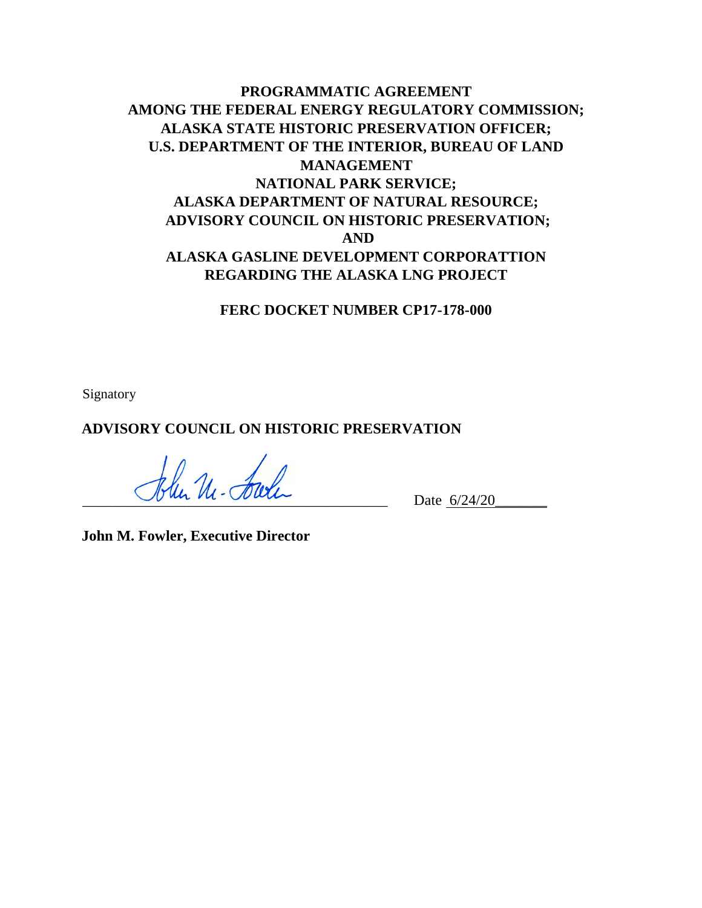# **PROGRAMMATIC AGREEMENT AMONG THE FEDERAL ENERGY REGULATORY COMMISSION; ALASKA STATE HISTORIC PRESERVATION OFFICER; U.S. DEPARTMENT OF THE INTERIOR, BUREAU OF LAND MANAGEMENT NATIONAL PARK SERVICE; ALASKA DEPARTMENT OF NATURAL RESOURCE; ADVISORY COUNCIL ON HISTORIC PRESERVATION; AND ALASKA GASLINE DEVELOPMENT CORPORATTION REGARDING THE ALASKA LNG PROJECT**

**FERC DOCKET NUMBER CP17-178-000** 

Signatory

**ADVISORY COUNCIL ON HISTORIC PRESERVATION** 

 $\not h$ lur Ul - Farle  $\nu$  Date  $\frac{6}{24/20}$ 

**John M. Fowler, Executive Director**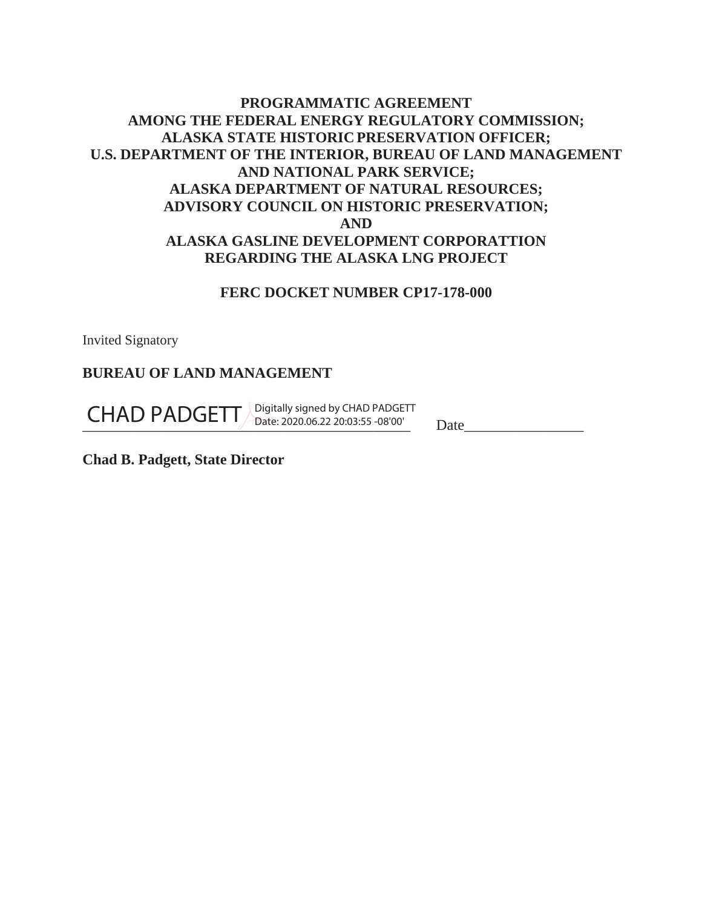## **PROGRAMMATIC AGREEMENT AMONG THE FEDERAL ENERGY REGULATORY COMMISSION; ALASKA STATE HISTORIC PRESERVATION OFFICER; U.S. DEPARTMENT OF THE INTERIOR, BUREAU OF LAND MANAGEMENT AND NATIONAL PARK SERVICE; ALASKA DEPARTMENT OF NATURAL RESOURCES; ADVISORY COUNCIL ON HISTORIC PRESERVATION; AND ALASKA GASLINE DEVELOPMENT CORPORATTION REGARDING THE ALASKA LNG PROJECT**

### **FERC DOCKET NUMBER CP17-178-000**

Invited Signatory

### **BUREAU OF LAND MANAGEMENT**

CHAD PADGETT Digitally signed by CHAD PADGETT<br>
Date: 2020.06.22 20:03:55 -08'00' Date

**Chad B. Padgett, State Director**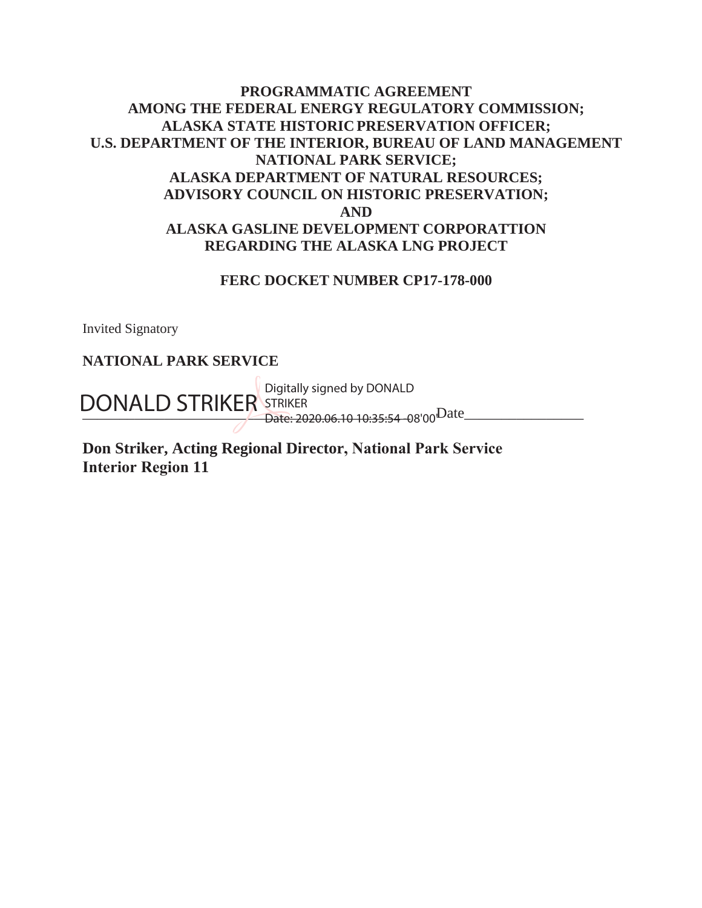## **PROGRAMMATIC AGREEMENT AMONG THE FEDERAL ENERGY REGULATORY COMMISSION; ALASKA STATE HISTORIC PRESERVATION OFFICER; U.S. DEPARTMENT OF THE INTERIOR, BUREAU OF LAND MANAGEMENT NATIONAL PARK SERVICE; ALASKA DEPARTMENT OF NATURAL RESOURCES; ADVISORY COUNCIL ON HISTORIC PRESERVATION; AND ALASKA GASLINE DEVELOPMENT CORPORATTION REGARDING THE ALASKA LNG PROJECT**

#### **FERC DOCKET NUMBER CP17-178-000**

Invited Signatory

### **NATIONAL PARK SERVICE**

DONALD STRIKER STRIKER<br>
DONALD STRIKER STRIKER<br>
Date: 2020.06.10.10:35:54\_08'00<sup>Date</sup> Date: 2020.06.10 10:35:54 -08'00'

**Don Striker, Acting Regional Director, National Park Service Interior Region 11**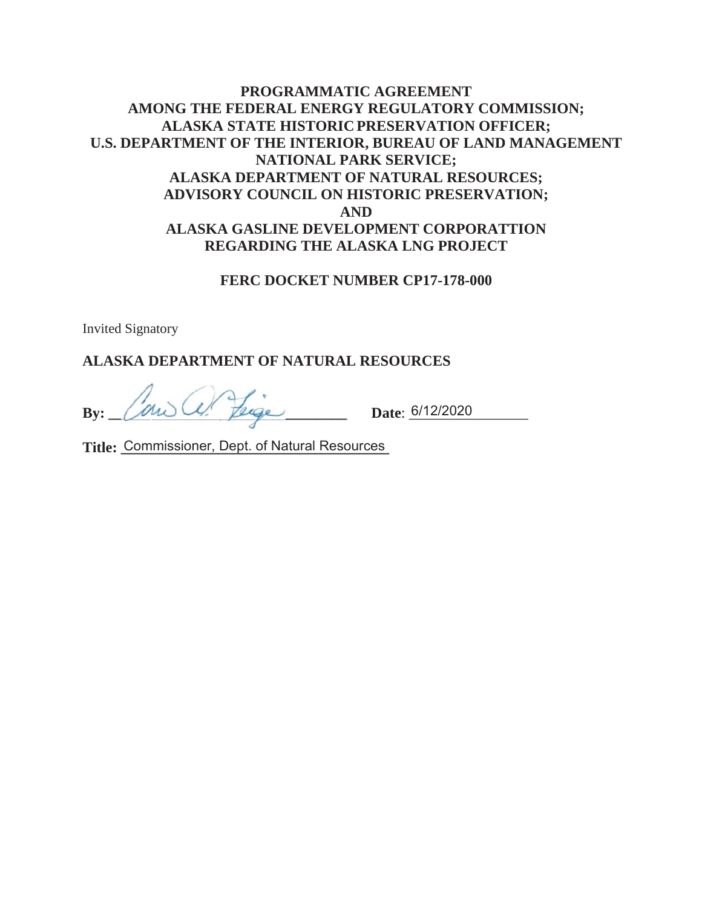## **PROGRAMMATIC AGREEMENT AMONG THE FEDERAL ENERGY REGULATORY COMMISSION; ALASKA STATE HISTORIC PRESERVATION OFFICER; U.S. DEPARTMENT OF THE INTERIOR, BUREAU OF LAND MANAGEMENT NATIONAL PARK SERVICE; ALASKA DEPARTMENT OF NATURAL RESOURCES; ADVISORY COUNCIL ON HISTORIC PRESERVATION; AND ALASKA GASLINE DEVELOPMENT CORPORATTION REGARDING THE ALASKA LNG PROJECT**

#### **FERC DOCKET NUMBER CP17-178-000**

Invited Signatory

### **ALASKA DEPARTMENT OF NATURAL RESOURCES**

By: *University Lenge* Date: <u>6/12/2020</u>

**Title: \_\_\_\_\_\_\_\_\_\_\_\_\_\_\_\_\_\_\_\_\_\_\_\_\_\_\_\_\_\_\_\_\_\_\_\_** Commissioner, Dept. of Natural Resources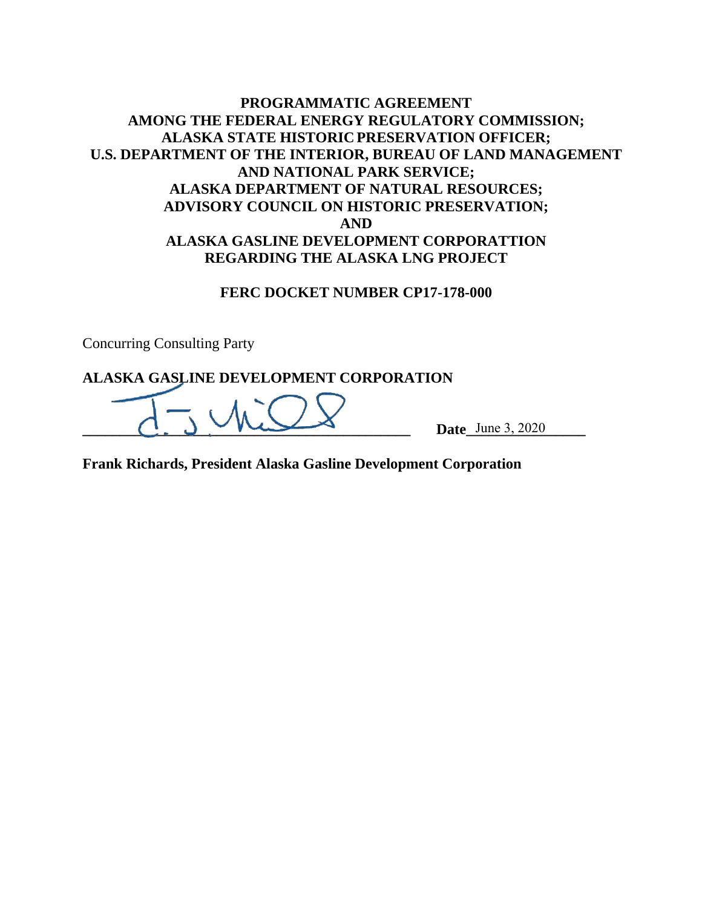### **PROGRAMMATIC AGREEMENT AMONG THE FEDERAL ENERGY REGULATORY COMMISSION; ALASKA STATE HISTORIC PRESERVATION OFFICER; U.S. DEPARTMENT OF THE INTERIOR, BUREAU OF LAND MANAGEMENT AND NATIONAL PARK SERVICE; ALASKA DEPARTMENT OF NATURAL RESOURCES; ADVISORY COUNCIL ON HISTORIC PRESERVATION; AND ALASKA GASLINE DEVELOPMENT CORPORATTION REGARDING THE ALASKA LNG PROJECT**

#### **FERC DOCKET NUMBER CP17-178-000**

Concurring Consulting Party

#### **ALASKA GASLINE DEVELOPMENT CORPORATION**

 $\sum_{\text{Date} \text{ June 3, 2020}}$ 

**Frank Richards, President Alaska Gasline Development Corporation**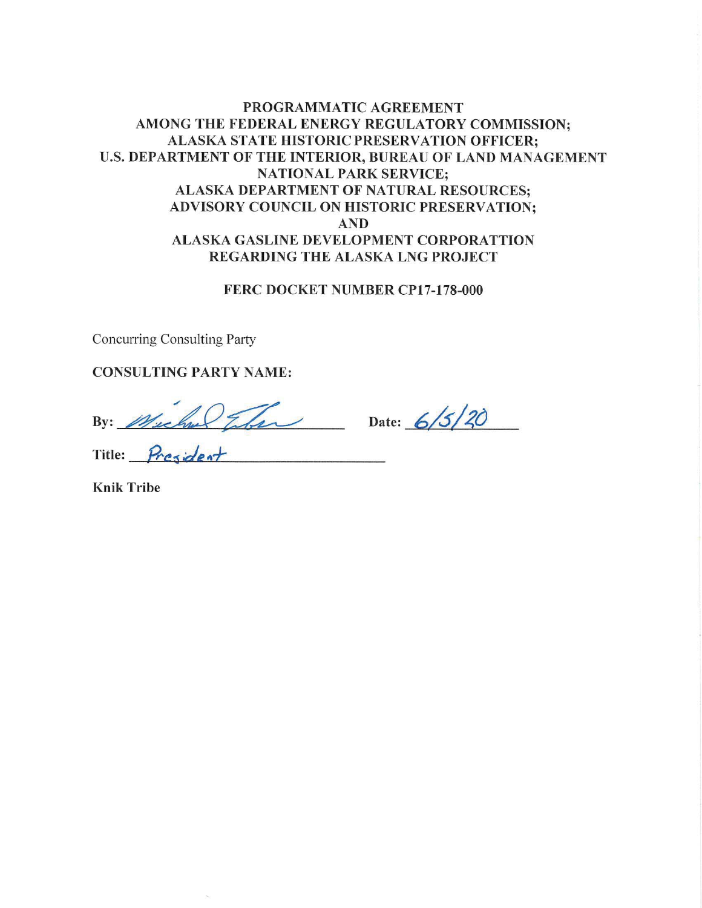### PROGRAMMATIC AGREEMENT AMONG THE FEDERAL ENERGY REGULATORY COMMISSION; ALASKA STATE HISTORIC PRESERVATION OFFICER; U.S. DEPARTMENT OF THE INTERIOR, BUREAU OF LAND MANAGEMENT **NATIONAL PARK SERVICE: ALASKA DEPARTMENT OF NATURAL RESOURCES:** ADVISORY COUNCIL ON HISTORIC PRESERVATION; **AND ALASKA GASLINE DEVELOPMENT CORPORATTION** REGARDING THE ALASKA LNG PROJECT

#### FERC DOCKET NUMBER CP17-178-000

**Concurring Consulting Party** 

**CONSULTING PARTY NAME:** 

By: Muchael Iber Date: 6/5/20<br>Title: President

**Knik Tribe**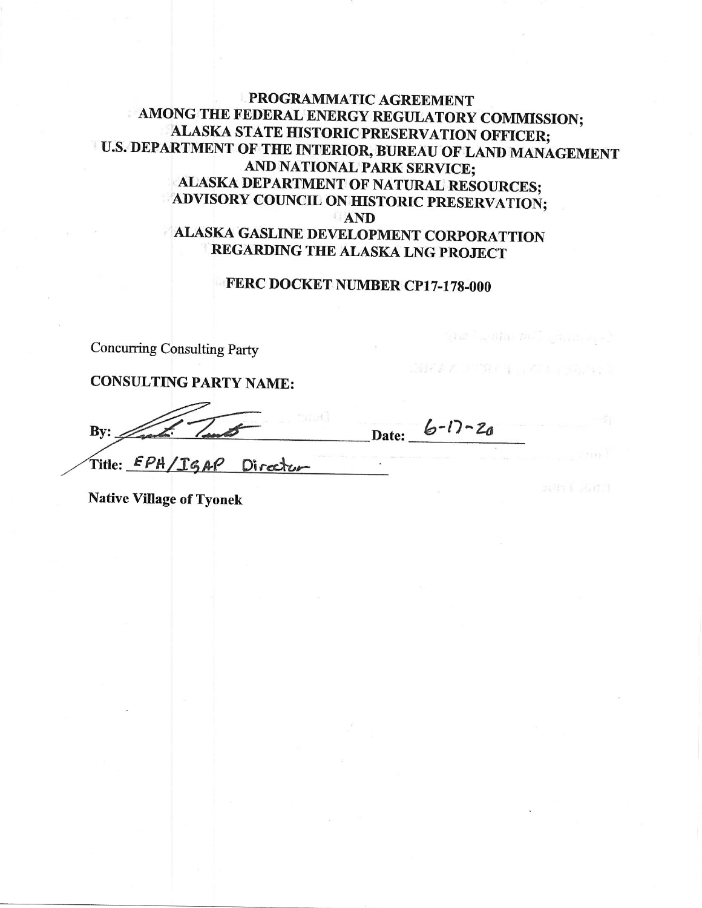### **PROGRAMMATIC AGREEMENT** AMONG THE FEDERAL ENERGY REGULATORY COMMISSION; ALASKA STATE HISTORIC PRESERVATION OFFICER; U.S. DEPARTMENT OF THE INTERIOR, BUREAU OF LAND MANAGEMENT AND NATIONAL PARK SERVICE; ALASKA DEPARTMENT OF NATURAL RESOURCES; ADVISORY COUNCIL ON HISTORIC PRESERVATION; AND

# **ALASKA GASLINE DEVELOPMENT CORPORATTION** REGARDING THE ALASKA LNG PROJECT

### FERC DOCKET NUMBER CP17-178-000

 $\mathcal{O}(\mathcal{C}^2)$  with  $\mathcal{O}(\mathcal{C}^2)$  ,  $\mathcal{O}(\mathcal{C}^2)$ 

81122224 100729231 HATCH STARTED 1

**Concurring Consulting Party** 

**CONSULTING PARTY NAME:** 

Date:  $6-17-20$ Bv:

Title: EPH/IGAP Directur

**Native Village of Tyonek**